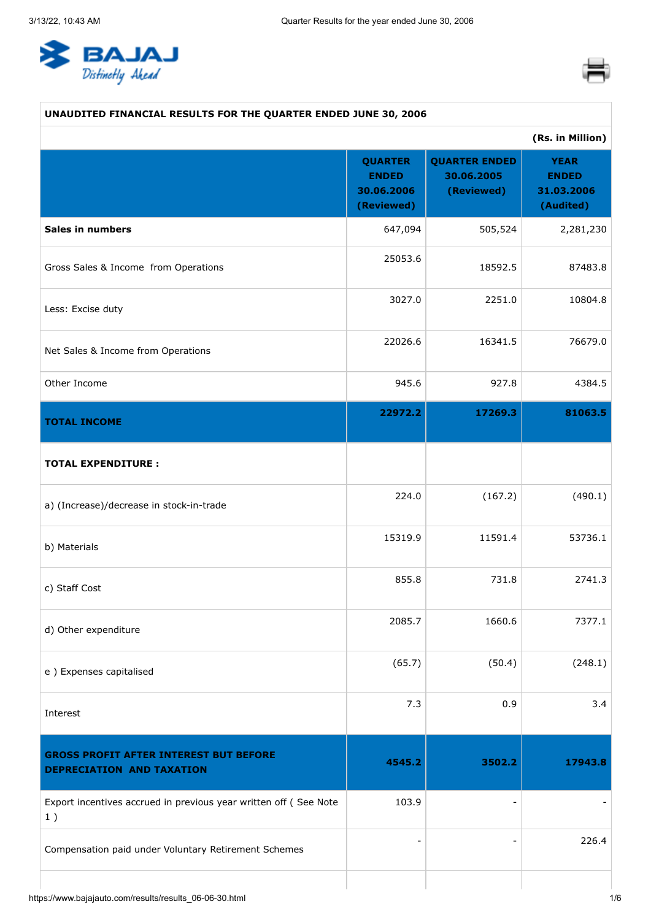<span id="page-0-0"></span>



# **UNAUDITED FINANCIAL RESULTS FOR THE QUARTER ENDED JUNE 30, 2006 (Rs. in Million) QUARTER ENDED 30.06.2006 (Reviewed) QUARTER ENDED 30.06.2005 (Reviewed) YEAR ENDED 31.03.2006 (Audited) Sales in numbers** 2,281,230 Gross Sales & Income from Operations 25053.6 18592.5 87483.8 Less: Excise duty 3027.0 2251.0 10804.8 Net Sales & Income from Operations 22026.6 16341.5 76679.0 Other Income 945.6 927.8 4384.5 **TOTAL INCOME 22972.2 17269.3 81063.5 TOTAL EXPENDITURE :** a) (Increase)/decrease in stock-in-trade 224.0 (167.2) (490.1) b) Materials 15319.9 11591.4 53736.1 c) Staff Cost 855.8 731.8 2741.3 d) Other expenditure 2085.7 1660.6 7377.1 e ) Expenses capitalised  $(65.7)$   $(50.4)$   $(248.1)$ Interest  $7.3$  0.9 3.4 **GROSS PROFIT AFTER INTEREST BUT BEFORE DEPRECIATION AND TAXATION 4545.2 3502.2 17943.8** Export incentives accrued in previous year written off ( See Note 1 ) 103.9 Compensation paid under Voluntary Retirement Schemes  $-$  226.4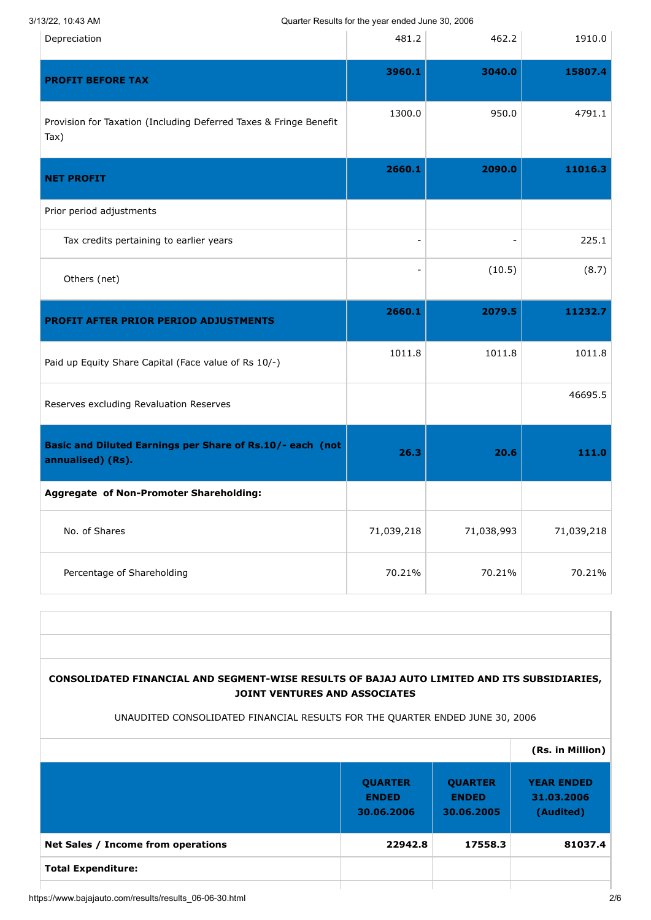3/13/22, 10:43 AM Quarter Results for the year ended June 30, 2006

| Depreciation                                                                   | 481.2      | 462.2      | 1910.0     |
|--------------------------------------------------------------------------------|------------|------------|------------|
| <b>PROFIT BEFORE TAX</b>                                                       | 3960.1     | 3040.0     | 15807.4    |
| Provision for Taxation (Including Deferred Taxes & Fringe Benefit<br>Tax)      | 1300.0     | 950.0      | 4791.1     |
| <b>NET PROFIT</b>                                                              | 2660.1     | 2090.0     | 11016.3    |
| Prior period adjustments                                                       |            |            |            |
| Tax credits pertaining to earlier years                                        | ٠          |            | 225.1      |
| Others (net)                                                                   |            | (10.5)     | (8.7)      |
| <b>PROFIT AFTER PRIOR PERIOD ADJUSTMENTS</b>                                   | 2660.1     | 2079.5     | 11232.7    |
| Paid up Equity Share Capital (Face value of Rs 10/-)                           | 1011.8     | 1011.8     | 1011.8     |
| Reserves excluding Revaluation Reserves                                        |            |            | 46695.5    |
| Basic and Diluted Earnings per Share of Rs.10/- each (not<br>annualised) (Rs). | 26.3       | 20.6       | 111.0      |
| Aggregate of Non-Promoter Shareholding:                                        |            |            |            |
| No. of Shares                                                                  | 71,039,218 | 71,038,993 | 71,039,218 |
|                                                                                |            |            |            |

## **CONSOLIDATED FINANCIAL AND SEGMENT-WISE RESULTS OF BAJAJ AUTO LIMITED AND ITS SUBSIDIARIES, JOINT VENTURES AND ASSOCIATES**

### UNAUDITED CONSOLIDATED FINANCIAL RESULTS FOR THE QUARTER ENDED JUNE 30, 2006

|                                    |                                              |                                              | (Rs. in Million)                             |
|------------------------------------|----------------------------------------------|----------------------------------------------|----------------------------------------------|
|                                    | <b>QUARTER</b><br><b>ENDED</b><br>30.06.2006 | <b>QUARTER</b><br><b>ENDED</b><br>30.06.2005 | <b>YEAR ENDED</b><br>31.03.2006<br>(Audited) |
| Net Sales / Income from operations | 22942.8                                      | 17558.3                                      | 81037.4                                      |
| <b>Total Expenditure:</b>          |                                              |                                              |                                              |
|                                    |                                              |                                              |                                              |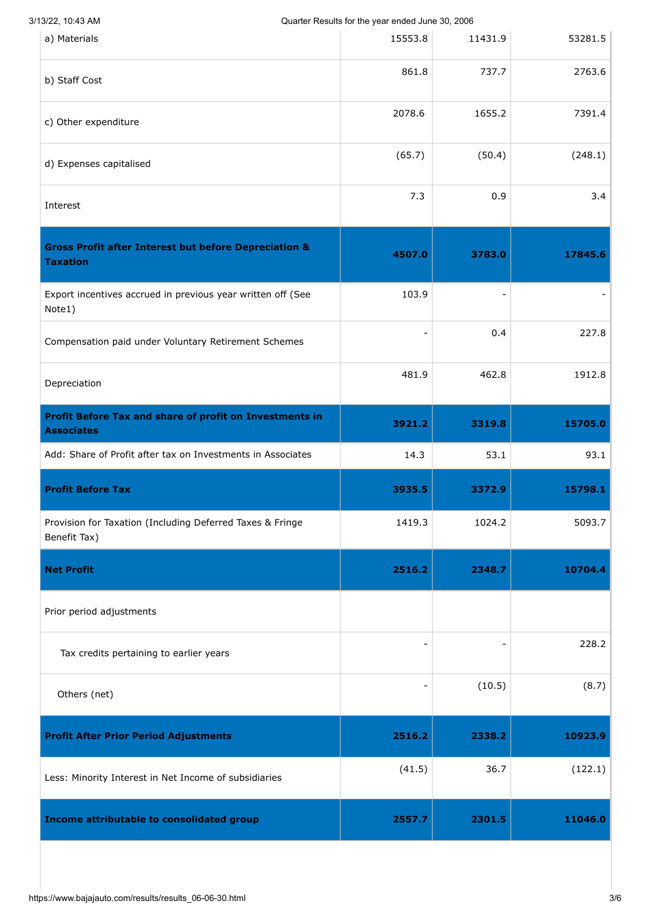Quarter Results for the year ended June 30, 2006

| a) Materials                                                                        | $\alpha$ add to 1 to batter to 1 th $\beta$ batter brital batter boy,<br>15553.8 | 11431.9 | 53281.5 |
|-------------------------------------------------------------------------------------|----------------------------------------------------------------------------------|---------|---------|
| b) Staff Cost                                                                       | 861.8                                                                            | 737.7   | 2763.6  |
| c) Other expenditure                                                                | 2078.6                                                                           | 1655.2  | 7391.4  |
| d) Expenses capitalised                                                             | (65.7)                                                                           | (50.4)  | (248.1) |
| Interest                                                                            | 7.3                                                                              | 0.9     | 3.4     |
| <b>Gross Profit after Interest but before Depreciation &amp;</b><br><b>Taxation</b> | 4507.0                                                                           | 3783.0  | 17845.6 |
| Export incentives accrued in previous year written off (See<br>Note1)               | 103.9                                                                            |         |         |
| Compensation paid under Voluntary Retirement Schemes                                |                                                                                  | 0.4     | 227.8   |
| Depreciation                                                                        | 481.9                                                                            | 462.8   | 1912.8  |
| <b>Profit Before Tax and share of profit on Investments in</b><br><b>Associates</b> | 3921.2                                                                           | 3319.8  | 15705.0 |
| Add: Share of Profit after tax on Investments in Associates                         | 14.3                                                                             | 53.1    | 93.1    |
| <b>Profit Before Tax</b>                                                            | 3935.5                                                                           | 3372.9  | 15798.1 |
| Provision for Taxation (Including Deferred Taxes & Fringe<br>Benefit Tax)           | 1419.3                                                                           | 1024.2  | 5093.7  |
| <b>Net Profit</b>                                                                   | 2516.2                                                                           | 2348.7  | 10704.4 |
| Prior period adjustments                                                            |                                                                                  |         |         |
| Tax credits pertaining to earlier years                                             |                                                                                  |         | 228.2   |
| Others (net)                                                                        |                                                                                  | (10.5)  | (8.7)   |
| <b>Profit After Prior Period Adjustments</b>                                        | 2516.2                                                                           | 2338.2  | 10923.9 |
| Less: Minority Interest in Net Income of subsidiaries                               | (41.5)                                                                           | 36.7    | (122.1) |
| Income attributable to consolidated group                                           | 2557.7                                                                           | 2301.5  | 11046.0 |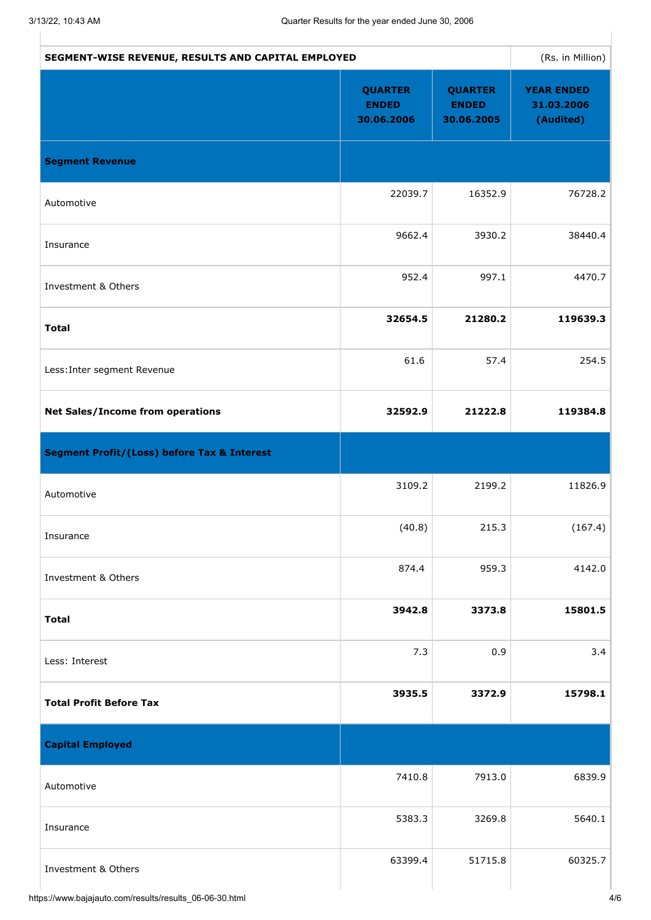| SEGMENT-WISE REVENUE, RESULTS AND CAPITAL EMPLOYED     |                                              |                                              | (Rs. in Million)                             |
|--------------------------------------------------------|----------------------------------------------|----------------------------------------------|----------------------------------------------|
|                                                        | <b>QUARTER</b><br><b>ENDED</b><br>30.06.2006 | <b>QUARTER</b><br><b>ENDED</b><br>30.06.2005 | <b>YEAR ENDED</b><br>31.03.2006<br>(Audited) |
| <b>Segment Revenue</b>                                 |                                              |                                              |                                              |
| Automotive                                             | 22039.7                                      | 16352.9                                      | 76728.2                                      |
| Insurance                                              | 9662.4                                       | 3930.2                                       | 38440.4                                      |
| Investment & Others                                    | 952.4                                        | 997.1                                        | 4470.7                                       |
| <b>Total</b>                                           | 32654.5                                      | 21280.2                                      | 119639.3                                     |
| Less: Inter segment Revenue                            | 61.6                                         | 57.4                                         | 254.5                                        |
| <b>Net Sales/Income from operations</b>                | 32592.9                                      | 21222.8                                      | 119384.8                                     |
| <b>Segment Profit/(Loss) before Tax &amp; Interest</b> |                                              |                                              |                                              |
| Automotive                                             | 3109.2                                       | 2199.2                                       | 11826.9                                      |
| Insurance                                              | (40.8)                                       | 215.3                                        | (167.4)                                      |
| Investment & Others                                    | 874.4                                        | 959.3                                        | 4142.0                                       |
| <b>Total</b>                                           | 3942.8                                       | 3373.8                                       | 15801.5                                      |
| Less: Interest                                         | 7.3                                          | 0.9                                          | 3.4                                          |
| <b>Total Profit Before Tax</b>                         | 3935.5                                       | 3372.9                                       | 15798.1                                      |
| <b>Capital Employed</b>                                |                                              |                                              |                                              |
| Automotive                                             | 7410.8                                       | 7913.0                                       | 6839.9                                       |
| Insurance                                              | 5383.3                                       | 3269.8                                       | 5640.1                                       |
| Investment & Others                                    | 63399.4                                      | 51715.8                                      | 60325.7                                      |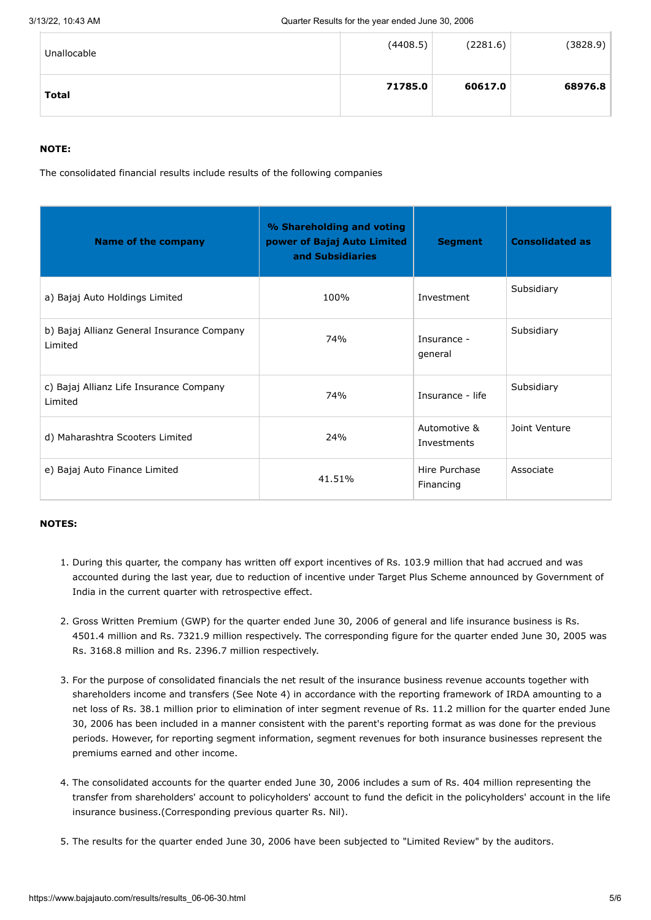| Unallocable  | (4408.5) | (2281.6) | (3828.9) |
|--------------|----------|----------|----------|
| <b>Total</b> | 71785.0  | 60617.0  | 68976.8  |

### **NOTE:**

The consolidated financial results include results of the following companies

| <b>Name of the company</b>                            | % Shareholding and voting<br>power of Bajaj Auto Limited<br>and Subsidiaries | <b>Segment</b>              | <b>Consolidated as</b> |
|-------------------------------------------------------|------------------------------------------------------------------------------|-----------------------------|------------------------|
| a) Bajaj Auto Holdings Limited                        | 100%                                                                         | Investment                  | Subsidiary             |
| b) Bajaj Allianz General Insurance Company<br>Limited | 74%                                                                          | Insurance -<br>general      | Subsidiary             |
| c) Bajaj Allianz Life Insurance Company<br>Limited    | 74%                                                                          | Insurance - life            | Subsidiary             |
| d) Maharashtra Scooters Limited                       | 24%                                                                          | Automotive &<br>Investments | Joint Venture          |
| e) Bajaj Auto Finance Limited                         | 41.51%                                                                       | Hire Purchase<br>Financing  | Associate              |

#### **NOTES:**

- 1. During this quarter, the company has written off export incentives of Rs. 103.9 million that had accrued and was accounted during the last year, due to reduction of incentive under Target Plus Scheme announced by Government of India in the current quarter with retrospective effect.
- 2. Gross Written Premium (GWP) for the quarter ended June 30, 2006 of general and life insurance business is Rs. 4501.4 million and Rs. 7321.9 million respectively. The corresponding figure for the quarter ended June 30, 2005 was Rs. 3168.8 million and Rs. 2396.7 million respectively.
- 3. For the purpose of consolidated financials the net result of the insurance business revenue accounts together with shareholders income and transfers (See Note 4) in accordance with the reporting framework of IRDA amounting to a net loss of Rs. 38.1 million prior to elimination of inter segment revenue of Rs. 11.2 million for the quarter ended June 30, 2006 has been included in a manner consistent with the parent's reporting format as was done for the previous periods. However, for reporting segment information, segment revenues for both insurance businesses represent the premiums earned and other income.
- 4. The consolidated accounts for the quarter ended June 30, 2006 includes a sum of Rs. 404 million representing the transfer from shareholders' account to policyholders' account to fund the deficit in the policyholders' account in the life insurance business.(Corresponding previous quarter Rs. Nil).
- 5. The results for the quarter ended June 30, 2006 have been subjected to "Limited Review" by the auditors.